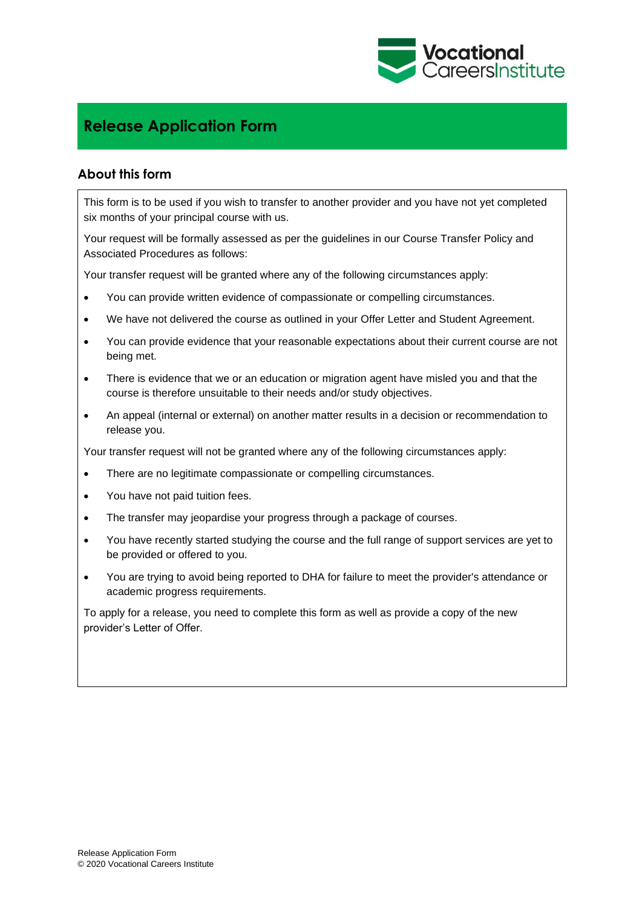

## **Release Application Form**

## **About this form**

This form is to be used if you wish to transfer to another provider and you have not yet completed six months of your principal course with us.

Your request will be formally assessed as per the guidelines in our Course Transfer Policy and Associated Procedures as follows:

Your transfer request will be granted where any of the following circumstances apply:

- You can provide written evidence of compassionate or compelling circumstances.
- We have not delivered the course as outlined in your Offer Letter and Student Agreement.
- You can provide evidence that your reasonable expectations about their current course are not being met.
- There is evidence that we or an education or migration agent have misled you and that the course is therefore unsuitable to their needs and/or study objectives.
- An appeal (internal or external) on another matter results in a decision or recommendation to release you.

Your transfer request will not be granted where any of the following circumstances apply:

- There are no legitimate compassionate or compelling circumstances.
- You have not paid tuition fees.
- The transfer may jeopardise your progress through a package of courses.
- You have recently started studying the course and the full range of support services are yet to be provided or offered to you.
- You are trying to avoid being reported to DHA for failure to meet the provider's attendance or academic progress requirements.

To apply for a release, you need to complete this form as well as provide a copy of the new provider's Letter of Offer.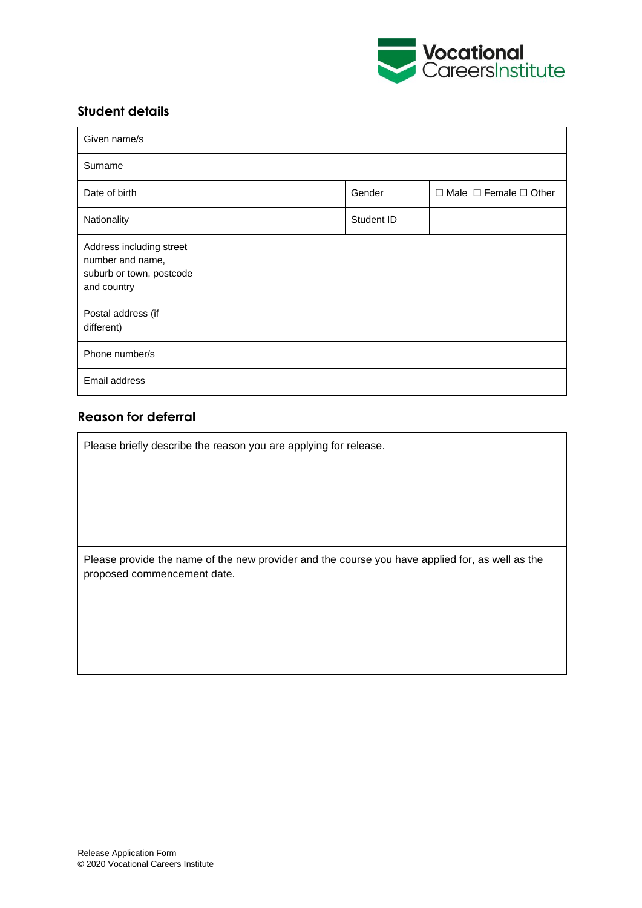

## **Student details**

| Given name/s                                                                            |            |                                        |
|-----------------------------------------------------------------------------------------|------------|----------------------------------------|
| Surname                                                                                 |            |                                        |
| Date of birth                                                                           | Gender     | $\Box$ Male $\Box$ Female $\Box$ Other |
| Nationality                                                                             | Student ID |                                        |
| Address including street<br>number and name,<br>suburb or town, postcode<br>and country |            |                                        |
| Postal address (if<br>different)                                                        |            |                                        |
| Phone number/s                                                                          |            |                                        |
| Email address                                                                           |            |                                        |

## **Reason for deferral**

Please briefly describe the reason you are applying for release.

Please provide the name of the new provider and the course you have applied for, as well as the proposed commencement date.